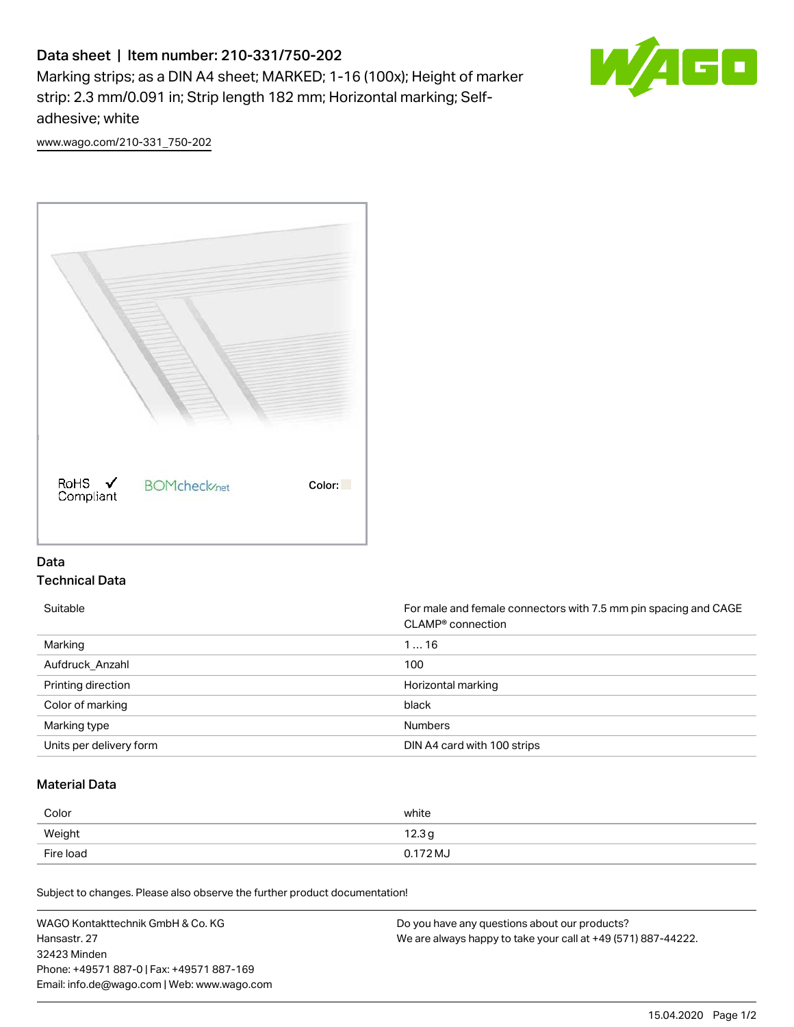# Data sheet | Item number: 210-331/750-202

Marking strips; as a DIN A4 sheet; MARKED; 1-16 (100x); Height of marker strip: 2.3 mm/0.091 in; Strip length 182 mm; Horizontal marking; Selfadhesive; white



[www.wago.com/210-331\\_750-202](http://www.wago.com/210-331_750-202)



## Data Technical Data

Suitable **Formale and female connectors with 7.5 mm pin spacing and CAGE** CLAMP® connection Marking 1 … 16 Aufdruck\_Anzahl 100 Printing direction **Exercise 2.1 Contract of the United States** Horizontal marking Color of marking black Marking type **Numbers** Numbers Units per delivery form **DIN A4 card with 100 strips** 

## Material Data

| Weight                | white  |
|-----------------------|--------|
|                       | 12.3 g |
| Fire load<br>0.172 MJ |        |

Subject to changes. Please also observe the further product documentation!

WAGO Kontakttechnik GmbH & Co. KG Hansastr. 27 32423 Minden Phone: +49571 887-0 | Fax: +49571 887-169 Email: info.de@wago.com | Web: www.wago.com Do you have any questions about our products? We are always happy to take your call at +49 (571) 887-44222.